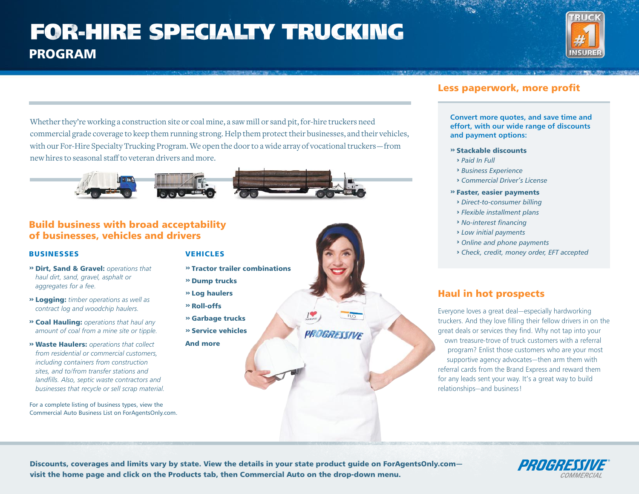# **FOR-HIRE SPECIALTY TRUCKING** PROGRAM



Whether they're working a construction site or coal mine, a saw mill or sand pit, for-hire truckers need commercial grade coverage to keep them running strong. Help them protect their businesses, and their vehicles, with our For-Hire Specialty Trucking Program. We open the door to a wide array of vocational truckers—from new hires to seasonal staff to veteran drivers and more.



### Build business with broad acceptability of businesses, vehicles and drivers

#### BUSINESSES VEHICLES

*aggregates for a fee.*

**››** Dirt, Sand & Gravel: *operations that haul dirt, sand, gravel, asphalt or* 

**››** Logging: *timber operations as well as contract log and woodchip haulers.* **››** Coal Hauling: *operations that haul any amount of coal from a mine site or tipple.* **››** Waste Haulers: *operations that collect from residential or commercial customers, including containers from construction sites, and to/from transfer stations and landfills. Also, septic waste contractors and businesses that recycle or sell scrap material.*

For a complete listing of business types, view the Commercial Auto Business List on ForAgentsOnly.com.

- 
- **››** Tractor trailer combinations
	- **››** Dump trucks
	- **››** Log haulers
	- **››** Roll-offs **››** Garbage trucks
	- **››** Service vehicles
	- And more

## Less paperwork, more profit

**Convert more quotes, and save time and effort, with our wide range of discounts and payment options:**

- **››** Stackable discounts
	- **›** *Paid In Full*
	- **›** *Business Experience*
	- **›** *Commercial Driver's License*
- **››** Faster, easier payments
	- **›** *Direct-to-consumer billing*
- **›** *Flexible installment plans*
- **›** *No-interest financing*
- **›** *Low initial payments*
- **›** *Online and phone payments*
- **›** *Check, credit, money order, EFT accepted*

## Haul in hot prospects

Everyone loves a great deal—especially hardworking truckers. And they love filling their fellow drivers in on the great deals or services they find. Why not tap into your own treasure-trove of truck customers with a referral program? Enlist those customers who are your most supportive agency advocates—then arm them with referral cards from the Brand Express and reward them for any leads sent your way. It's a great way to build relationships—and business!

Discounts, coverages and limits vary by state. View the details in your state product guide on ForAgentsOnly.com visit the home page and click on the Products tab, then Commercial Auto on the drop-down menu.

PROGRESSIVE